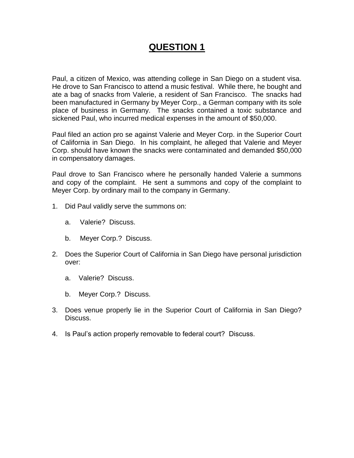# **QUESTION 1**

Paul, a citizen of Mexico, was attending college in San Diego on a student visa. He drove to San Francisco to attend a music festival. While there, he bought and ate a bag of snacks from Valerie, a resident of San Francisco. The snacks had been manufactured in Germany by Meyer Corp., a German company with its sole place of business in Germany. The snacks contained a toxic substance and sickened Paul, who incurred medical expenses in the amount of \$50,000.

Paul filed an action pro se against Valerie and Meyer Corp. in the Superior Court of California in San Diego. In his complaint, he alleged that Valerie and Meyer Corp. should have known the snacks were contaminated and demanded \$50,000 in compensatory damages.

Paul drove to San Francisco where he personally handed Valerie a summons and copy of the complaint. He sent a summons and copy of the complaint to Meyer Corp. by ordinary mail to the company in Germany.

- 1. Did Paul validly serve the summons on:
	- a. Valerie? Discuss.
	- b. Meyer Corp.? Discuss.
- 2. Does the Superior Court of California in San Diego have personal jurisdiction over:
	- a. Valerie? Discuss.
	- b. Meyer Corp.? Discuss.
- 3. Does venue properly lie in the Superior Court of California in San Diego? Discuss.
- 4. Is Paul's action properly removable to federal court? Discuss.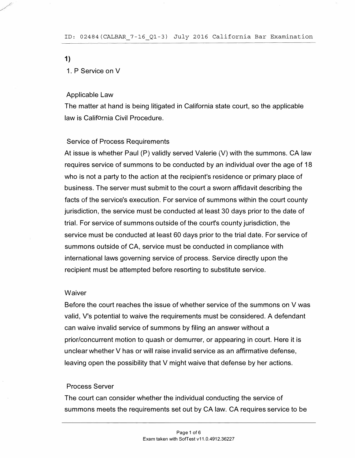1)

## 1 . P Service on V

#### Applicable Law

The matter at hand is being litigated in California state court, so the applicable law is California Civil Procedure.

#### Service of Process Requirements

At issue is whether Paul (P) validly served Valerie (V) with the summons. CA law requires service of summons to be conducted by an individual over the age of 18 who is not a party to the action at the recipient's residence or primary place of business. The server must submit to the court a sworn affidavit describing the facts of the service's execution. For service of summons within the court county jurisdiction, the service must be conducted at least 30 days prior to the date of trial. For service of summons outside of the court's county jurisdiction, the service must be conducted at least 60 days prior to the trial date. For service of summons outside of CA, service must be conducted in compliance with international laws governing service of process. Service directly upon the recipient must be attempted before resorting to substitute service.

#### **Waiver**

Before the court reaches the issue of whether service of the summons on V was valid, V's potential to waive the requirements must be considered. A defendant can waive invalid service of summons by filing an answer without a prior/concurrent motion to quash or demurrer, or appearing in court. Here it is unclear whether V has or will raise invalid service as an affirmative defense, leaving open the possibility that V might waive that defense by her actions.

#### Process Server

The court can consider whether the individual conducting the service of summons meets the requirements set out by CA law. CA requires service to be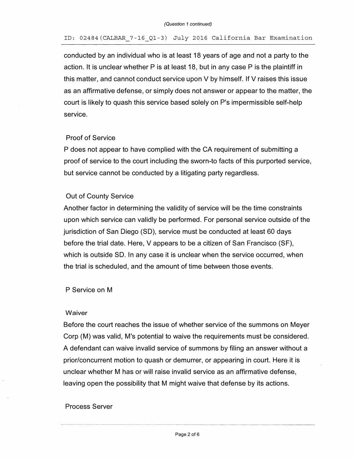#### ID: 02484(CALBAR\_7-16\_Ql-3) July 2016 California Bar Examination

conducted by an individual who is at least 18 years of age and not a party to the action. It is unclear whether P is at least 18, but in any case P is the plaintiff in this matter, and cannot conduct service upon V by himself. If V raises this issue as an affirmative defense, or simply does not answer or appear to the matter, the court is likely to quash this service based solely on P's impermissible self-help service.

## Proof of Service

P does not appear to have complied with the CA requirement of submitting a proof of service to the court including the sworn-to facts of this purported service, but service cannot be conducted by a litigating party regardless.

# Out of County Service

Another factor in determining the validity of service will be the time constraints upon which service can validly be performed. For personal service outside of the jurisdiction of San Diego (SD), service must be conducted at least 60 days before the trial date. Here, V appears to be a citizen of San Francisco (SF), which is outside SD. In any case it is unclear when the service occurred, when the trial is scheduled, and the amount of time between those events.

P Service on M

## **Waiver**

Before the court reaches the issue of whether service of the summons on Meyer Corp (M) was valid, M's potential to waive the requirements must be considered. A defendant can waive invalid service of summons by filing an answer without a prior/concurrent motion to quash or demurrer, or appearing in court. Here it is unclear whether M has or will raise invalid service as an affirmative defense, leaving open the possibility that M might waive that defense by its actions.

## Process Server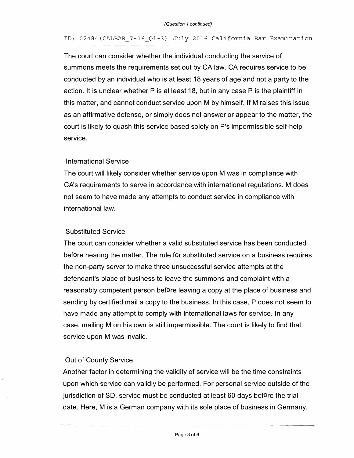## ID: 02484(CALBAR\_7-16\_Ql-3) July 2016 California Bar Examination

The court can consider whether the individual conducting the service of summons meets the requirements set out by CA law. CA requires service to be conducted by an individual who is at least 18 years of age and not a party to the action. It is unclear whether P is at least 18, but in any case P is the plaintiff in this matter, and cannot conduct service upon M by himself. If M raises this issue as an affirmative defense, or simply does not answer or appear to the matter, the court is likely to quash this service based solely on P's impermissible self-help service.

## International Service

The court will likely consider whether service upon M was in compliance with CA's requirements to serve in accordance with international regulations. M does not seem to have made any attempts to conduct service in compliance with international law.

## Substituted Service

The court can consider whether a valid substituted service has been conducted before hearing the matter. The rule for substituted service on a business requires the non-party server to make three unsuccessful service attempts at the defendant's place of business to leave the summons and complaint with a reasonably competent person before leaving a copy at the place of business and sending by certified mail a copy to the business. In this case, P does not seem to have made any attempt to comply with international laws for service. In any case, mailing M on his own is still impermissible. The court is likely to find that service upon M was invalid.

# Out of County Service

Another factor in determining the validity of service will be the time constraints upon which service can validly be performed. For personal service outside of the jurisdiction of SD, service must be conducted at least 60 days before the trial date. Here, M is a German company with its sole place of business in Germany.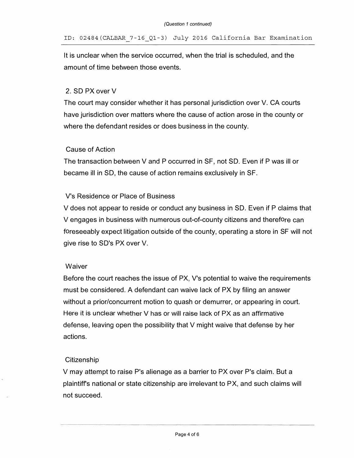It is unclear when the service occurred, when the trial is scheduled, and the amount of time between those events.

# 2. SD PX over V

The court may consider whether it has personal jurisdiction over V. CA courts have jurisdiction over matters where the cause of action arose in the county or where the defendant resides or does business in the county.

# Cause of Action

The transaction between V and P occurred in SF, not SD. Even if P was ill or became ill in SD, the cause of action remains exclusively in SF.

# V's Residence or Place of Business

V does not appear to reside or conduct any business in SD. Even if P claims that V engages in business with numerous out-of-county citizens and therefore can foreseeably expect litigation outside of the county, operating a store in SF will not give rise to SD's PX over V.

# **Waiver**

Before the court reaches the issue of PX, V's potential to waive the requirements must be considered. A defendant can waive lack of PX by filing an answer without a prior/concurrent motion to quash or demurrer, or appearing in court. Here it is unclear whether V has or will raise lack of PX as an affirmative defense, leaving open the possibility that V might waive that defense by her actions.

# **Citizenship**

V may attempt to raise P's alienage as a barrier to PX over P's claim. But a plaintiffs national or state citizenship are irrelevant to PX, and such claims will not succeed.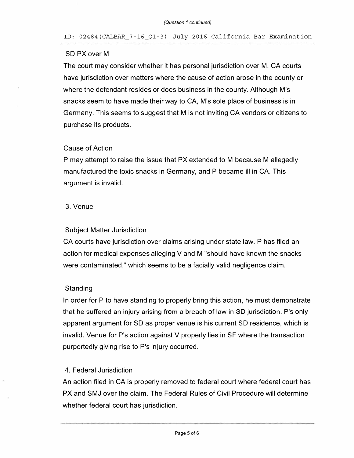## ID: 02484(CALBAR\_7-16\_Ql-3) July 2016 California Bar Examination

# SD PX over M

The court may consider whether it has personal jurisdiction over M. CA courts have jurisdiction over matters where the cause of action arose in the county or where the defendant resides or does business in the county. Although M's snacks seem to have made their way to CA, M's sole place of business is in Germany. This seems to suggest that M is not inviting CA vendors or citizens to purchase its products.

# Cause of Action

P may attempt to raise the issue that PX extended to M because M allegedly manufactured the toxic snacks in Germany, and P became ill in CA. This argument is invalid.

# 3. Venue

# Subject Matter Jurisdiction

CA courts have jurisdiction over claims arising under state law. P has filed an action for medical expenses alleging V and M "should have known the snacks were contaminated," which seems to be a facially valid negligence claim.

# **Standing**

In order for P to have standing to properly bring this action, he must demonstrate that he suffered an injury arising from a breach of law in SD jurisdiction. P's only apparent argument for SD as proper venue is his current SD residence, which is invalid. Venue for P's action against V properly lies in SF where the transaction purportedly giving rise to P's injury occurred.

# 4. Federal Jurisdiction

An action filed in CA is properly removed to federal court where federal court has PX and SMJ over the claim. The Federal Rules of Civil Procedure will determine whether federal court has jurisdiction.